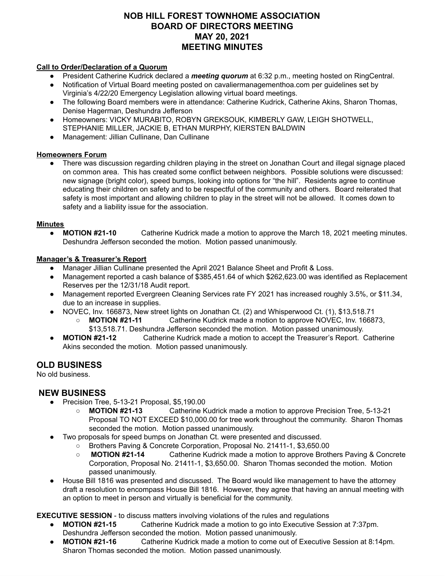# **NOB HILL FOREST TOWNHOME ASSOCIATION BOARD OF DIRECTORS MEETING MAY 20, 2021 MEETING MINUTES**

#### **Call to Order/Declaration of a Quorum**

- President Catherine Kudrick declared a *meeting quorum* at 6:32 p.m., meeting hosted on RingCentral.
- Notification of Virtual Board meeting posted on cavaliermanagementhoa.com per guidelines set by Virginia's 4/22/20 Emergency Legislation allowing virtual board meetings.
- The following Board members were in attendance: Catherine Kudrick, Catherine Akins, Sharon Thomas, Denise Hagerman, Deshundra Jefferson
- Homeowners: VICKY MURABITO, ROBYN GREKSOUK, KIMBERLY GAW, LEIGH SHOTWELL, STEPHANIE MILLER, JACKIE B, ETHAN MURPHY, KIERSTEN BALDWIN
- Management: Jillian Cullinane, Dan Cullinane

## **Homeowners Forum**

● There was discussion regarding children playing in the street on Jonathan Court and illegal signage placed on common area. This has created some conflict between neighbors. Possible solutions were discussed: new signage (bright color), speed bumps, looking into options for "the hill". Residents agree to continue educating their children on safety and to be respectful of the community and others. Board reiterated that safety is most important and allowing children to play in the street will not be allowed. It comes down to safety and a liability issue for the association.

## **Minutes**

● **MOTION #21-10** Catherine Kudrick made a motion to approve the March 18, 2021 meeting minutes. Deshundra Jefferson seconded the motion. Motion passed unanimously.

## **Manager's & Treasurer's Report**

- Manager Jillian Cullinane presented the April 2021 Balance Sheet and Profit & Loss.
- Management reported a cash balance of \$385,451.64 of which \$262,623.00 was identified as Replacement Reserves per the 12/31/18 Audit report.
- Management reported Evergreen Cleaning Services rate FY 2021 has increased roughly 3.5%, or \$11.34, due to an increase in supplies.
- NOVEC, Inv. 166873, New street lights on Jonathan Ct. (2) and Whisperwood Ct. (1), \$13,518.71
	- **MOTION #21-11** Catherine Kudrick made a motion to approve NOVEC, Inv. 166873, \$13,518.71. Deshundra Jefferson seconded the motion. Motion passed unanimously.
- **MOTION #21-12** Catherine Kudrick made a motion to accept the Treasurer's Report. Catherine Akins seconded the motion. Motion passed unanimously.

## **OLD BUSINESS**

No old business.

## **NEW BUSINESS**

- Precision Tree, 5-13-21 Proposal, \$5,190.00
	- **○ MOTION #21-13** Catherine Kudrick made a motion to approve Precision Tree, 5-13-21 Proposal TO NOT EXCEED \$10,000.00 for tree work throughout the community. Sharon Thomas seconded the motion. Motion passed unanimously.
- Two proposals for speed bumps on Jonathan Ct. were presented and discussed.
	- Brothers Paving & Concrete Corporation, Proposal No. 21411-1, \$3,650.00
	- **MOTION #21-14** Catherine Kudrick made a motion to approve Brothers Paving & Concrete Corporation, Proposal No. 21411-1, \$3,650.00. Sharon Thomas seconded the motion. Motion passed unanimously.
- House Bill 1816 was presented and discussed. The Board would like management to have the attorney draft a resolution to encompass House Bill 1816. However, they agree that having an annual meeting with an option to meet in person and virtually is beneficial for the community.

**EXECUTIVE SESSION** - to discuss matters involving violations of the rules and regulations

- **MOTION #21-15** Catherine Kudrick made a motion to go into Executive Session at 7:37pm. Deshundra Jefferson seconded the motion. Motion passed unanimously.
- **MOTION #21-16** Catherine Kudrick made a motion to come out of Executive Session at 8:14pm. Sharon Thomas seconded the motion. Motion passed unanimously.